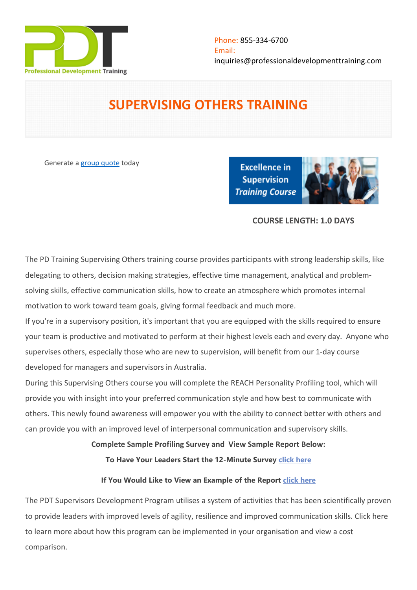

# **SUPERVISING OTHERS TRAINING**

Generate a [group quote](https://professionaldevelopmenttraining.com/inhouse-training-quote?cse=PDT0025) today

**Excellence in Supervision Training Course** 



# **COURSE LENGTH: 1.0 DAYS**

The PD Training Supervising Others training course provides participants with strong leadership skills, like delegating to others, decision making strategies, effective time management, analytical and problemsolving skills, effective communication skills, how to create an atmosphere which promotes internal motivation to work toward team goals, giving formal feedback and much more.

If you're in a supervisory position, it's important that you are equipped with the skills required to ensure your team is productive and motivated to perform at their highest levels each and every day. Anyone who supervises others, especially those who are new to supervision, will benefit from our 1-day course developed for managers and supervisors in Australia.

During this Supervising Others course you will complete the REACH Personality Profiling tool, which will provide you with insight into your preferred communication style and how best to communicate with others. This newly found awareness will empower you with the ability to connect better with others and can provide you with an improved level of interpersonal communication and supervisory skills.

**Complete Sample Profiling Survey and View Sample Report Below:**

**To Have Your Leaders Start the 12-Minute Survey [click here](https://au.reachecosystem.com/Participants/TakeSurvey/Start?code=ECMNQTRH)**

# **If You Would Like to View an Example of the Report [click here](https://au.reachecosystem.com/assets/pdf/reach-leading-profile-sample-march-2020.pdf)**

The PDT Supervisors Development Program utilises a system of activities that has been scientifically proven to provide leaders with improved levels of agility, resilience and improved communication skills. [Click here](https://professionaldevelopmenttraining.com/leadership-development-new)  [to learn more about how this program can be implemented in your organisation and view a cost](https://professionaldevelopmenttraining.com/leadership-development-new)  [comparison.](https://professionaldevelopmenttraining.com/leadership-development-new)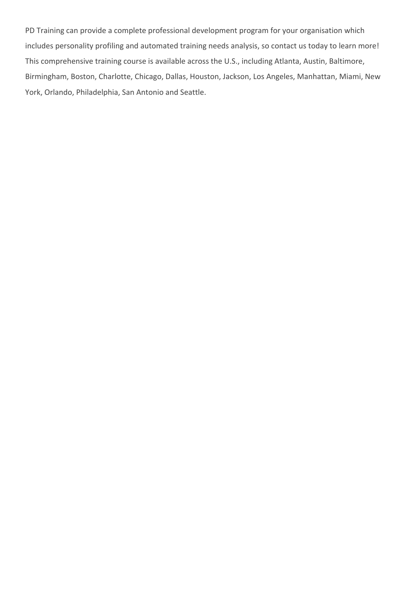PD Training can provide a complete professional development program for your organisation which includes personality profiling and automated training needs analysis, so contact us today to learn more! This comprehensive training course is available across the U.S., including Atlanta, Austin, Baltimore, Birmingham, Boston, Charlotte, Chicago, Dallas, Houston, Jackson, Los Angeles, Manhattan, Miami, New York, Orlando, Philadelphia, San Antonio and Seattle.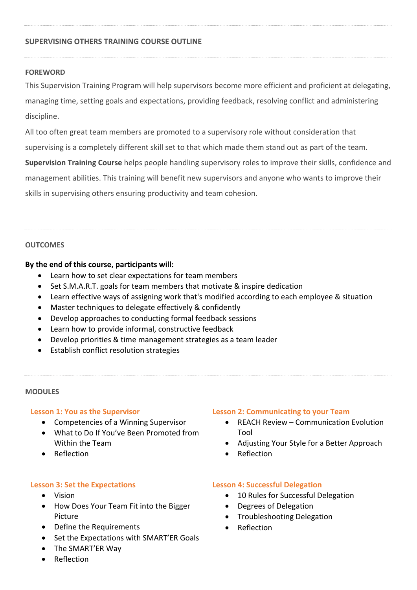# **SUPERVISING OTHERS TRAINING COURSE OUTLINE**

#### **FOREWORD**

This Supervision Training Program will help supervisors become more efficient and proficient at delegating, managing time, setting goals and expectations, providing feedback, resolving conflict and administering discipline.

All too often great team members are promoted to a supervisory role without consideration that

supervising is a completely different skill set to that which made them stand out as part of the team.

**Supervision Training Course** helps people handling supervisory roles to improve their skills, confidence and management abilities. This training will benefit new supervisors and anyone who wants to improve their skills in supervising others ensuring productivity and team cohesion.

#### **OUTCOMES**

#### **By the end of this course, participants will:**

- Learn how to set clear expectations for team members
- Set S.M.A.R.T. goals for team members that motivate & inspire dedication
- Learn effective ways of assigning work that's modified according to each employee & situation
- Master techniques to delegate effectively & confidently
- Develop approaches to conducting formal feedback sessions
- Learn how to provide informal, constructive feedback
- Develop priorities & time management strategies as a team leader
- Establish conflict resolution strategies

#### **MODULES**

# **Lesson 1: You as the Supervisor**

- Competencies of a Winning Supervisor
- What to Do If You've Been Promoted from Within the Team
- Reflection

# **Lesson 3: Set the Expectations**

- Vision
- How Does Your Team Fit into the Bigger Picture
- Define the Requirements
- Set the Expectations with SMART'ER Goals
- The SMART'ER Way
- Reflection

# **Lesson 2: Communicating to your Team**

- REACH Review Communication Evolution Tool
- Adjusting Your Style for a Better Approach
- Reflection

# **Lesson 4: Successful Delegation**

- 10 Rules for Successful Delegation
- Degrees of Delegation
- Troubleshooting Delegation
- Reflection